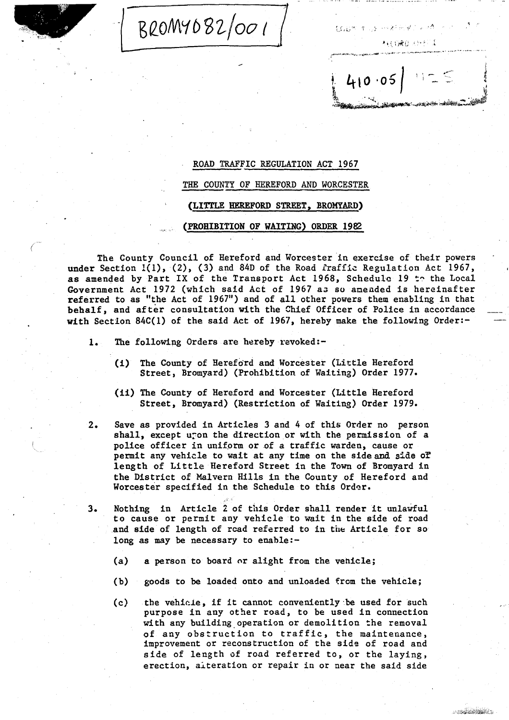BROMY082/001

机自动离合 人名巴尔泽

a shekara wa

经无行贿 电自逐 计缓冲计 壁

## ROAD TRAFFIC REGULATION ACT 1967

THE COUNTY OF HEREFORD AND WORCESTER

## (LITTLE HEREFORD STREET, BROMYARD)

## (PROHIBITION OF WAITING) ORDER 1982

The County Council of Hereford and Worcester in exercise of their powers under Section  $1(1)$ ,  $(2)$ ,  $(3)$  and  $84D$  of the Road fraffic Regulation Act 1967, as amended by Part IX of the Transport Act 1968, Schedule 19 to the Local Government Act 1972 (which said Act of 1967 as so amended is hereinafter referred to as "the Act of 1967") and of all other powers them enabling in that behalf, and of ter consultation with the Chief Officer of Police in accordance with Section 84C(1) of the said Act of 1967, hereby make the following Order:-

- 1. The following Orders are hereby revoked:-
	- (i) The County of Hereford and Worcester (Little Hereford Street, Bromyard) (Prohibition of Waiting) Order 1977.
	- (ii) The County of Hereford and Worcester (Little Hereford Street, Bromyard) (Restriction of Waiting) Order 1979.
- $2.$ Save as provided in Articles 3 and 4 of this Order no person shall, except uron the direction or with the permission of a police officer in uniform or of a traffic warden, cause or permit any vehicle to wait at any time on the side and side of length of Little Hereford Street in the Town of Bromyard in the District of Malvern Hills in the County of Hereford and Worcester specified in the Schedule to this Order.
- 3 . Nothing in Article <sup>2</sup> of this Order shall render it unlawful to cause or permit any vehicle to wait in the side of road and side of length of rcad referred to in the Article for so long as may be necessary to enable:-
	- (a) a person to board or alight from the vehicle;
	- (b) goods to be loaded onto and unloaded from the vehicle ;
	- $(c)$  the vehicle, if it cannot conveniently be used for such purpose in any other road, to be used in connection with any building operation or demolition the removal of any obstruction to traffic, the maintenance, improvement or reconstruction of the side of road and side of length of road referred to, or the laying, erection, alteration or repair in or near the said side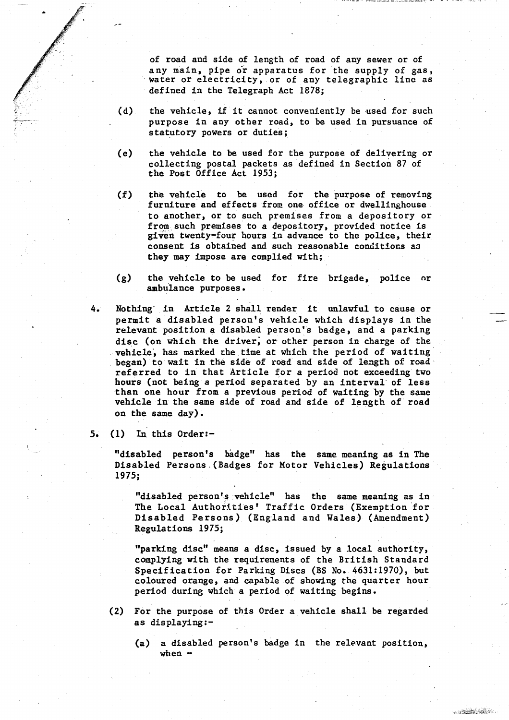of road and side of length of road of any sewer or of any main, pipe or apparatus for the supply of gas, water or electricity, or of any telegraphic line as defined in the Telegraph Act 1878;

- $(d)$  the vehicle, if it cannot conveniently be used for such purpose in any other road, to be used in pursuance of statutory powers or duties;
- (e) the vehicle to be used for the purpose of delivering or collecting postal packets as defined in Section 87 of the Post Office Act 1953;
- $(f)$ the vehicle to be used for the purpose of removing furniture and effects from one office or dwellinghouse to another, or to such premises from a depository or from,such premises to a depository, provided notice is given twenty-four hours in advance to the police, their. consent is obtained and such reasonable conditions as they may impose are complied with;
- (g) the vehicle to be used for fire brigade, police or ambulance purposes .
- 4. Nothing' in Article 2 shall render it unlawful to cause or permit a disabled person's vehicle which displays in the relevant position a disabled person's badge, and a parking disc (on which the driver, or other person in charge of the vehicle, has marked the time at which the period of waiting began) to wait in the side of road and side of length of roadreferred to in that Article for a period not exceeding two hours (not being a period separated by an interval'of less than one hour from a previous period of waiting by the same vehicle in the same side of road and side of length of road on the same day) .
- 5.  $(1)$  In this Order:-

"disabled person's badge" has the same meaning as in The Disabled Persons .(Badges for Motor Vehicles) Regulations 1975;

"disabled person's vehicle" has the same meaning as in The Local Authorities' Traffic Orders (Exemption'for-Disabled Persons) (England and Wales) (Amendment) Regulations 1975;

"parking disc" means a disc, issued by a local authority, complying with the requirements of the British Standard Specification for Parking Discs (BS No. 4631:1970), but coloured orange, and capable of showing the quarter hour period during which a period of waiting begins .

- (2) For the purpose of this Order a vehicle shall be regarded as displaying :-
	- (a) a disabled person's badge in the relevant position, when -

**CONTRACTOR**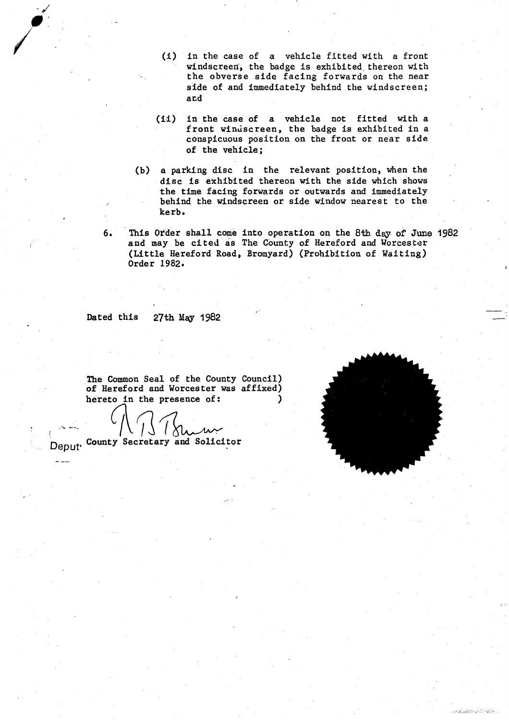- $(i)$  in the case of a vehicle fitted with a front windscreen, the badge is exhibited thereon with the obverse side facing forwards on the near side of and immediately behind the windscreen; and
- (ii) in the case of a vehicle not fitted with a front windscreen, the badge is exhibited in a conspicuous position on the front or near side of the vehicle;
- (b) a parking disc in the relevant position, when the disc is exhibited thereon with the side which shows the time facing forwards or outwards and immediately behind the windscreen or side window nearest to the kerb .
- 6. This Order shall come into operation on the 8th. day of June 1982 and may be cited as The County of Hereford and Worcester (Little Hereford Road, Bromyard) (Prohibition of Waiting) Order 1982.

Dated this 27th May 1982

The Common Seal of the County Council) of Hereford and Worcester was affixed) hereto in the presence of:

Deput, County Secretary and Solicitor

- --



**Construction of the Construction**